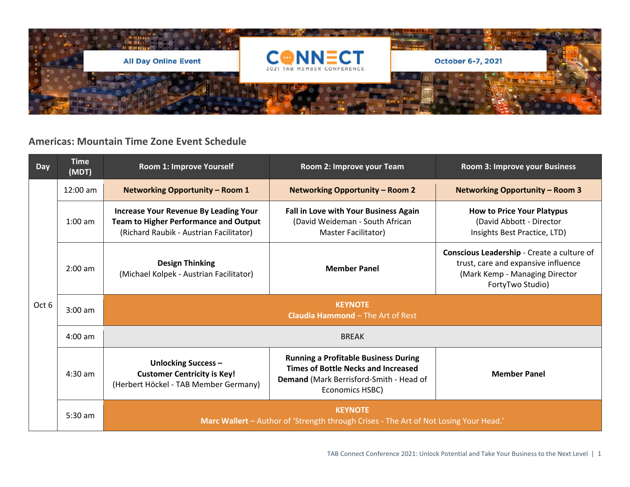

## **Americas: Mountain Time Zone Event Schedule**

| Day   | <b>Time</b><br>(MDT) | Room 1: Improve Yourself                                                                                                                | Room 2: Improve your Team                                                                                                                               | Room 3: Improve your Business                                                                                                           |  |
|-------|----------------------|-----------------------------------------------------------------------------------------------------------------------------------------|---------------------------------------------------------------------------------------------------------------------------------------------------------|-----------------------------------------------------------------------------------------------------------------------------------------|--|
| Oct 6 | 12:00 am             | <b>Networking Opportunity - Room 1</b>                                                                                                  | <b>Networking Opportunity - Room 2</b>                                                                                                                  | <b>Networking Opportunity - Room 3</b>                                                                                                  |  |
|       | $1:00$ am            | <b>Increase Your Revenue By Leading Your</b><br><b>Team to Higher Performance and Output</b><br>(Richard Raubik - Austrian Facilitator) | Fall in Love with Your Business Again<br>(David Weideman - South African<br>Master Facilitator)                                                         | <b>How to Price Your Platypus</b><br>(David Abbott - Director<br>Insights Best Practice, LTD)                                           |  |
|       | $2:00$ am            | <b>Design Thinking</b><br>(Michael Kolpek - Austrian Facilitator)                                                                       | <b>Member Panel</b>                                                                                                                                     | Conscious Leadership - Create a culture of<br>trust, care and expansive influence<br>(Mark Kemp - Managing Director<br>FortyTwo Studio) |  |
|       | $3:00$ am            | <b>KEYNOTE</b><br><b>Claudia Hammond - The Art of Rest</b>                                                                              |                                                                                                                                                         |                                                                                                                                         |  |
|       | $4:00$ am            | <b>BREAK</b>                                                                                                                            |                                                                                                                                                         |                                                                                                                                         |  |
|       | $4:30$ am            | <b>Unlocking Success -</b><br><b>Customer Centricity is Key!</b><br>(Herbert Höckel - TAB Member Germany)                               | <b>Running a Profitable Business During</b><br><b>Times of Bottle Necks and Increased</b><br>Demand (Mark Berrisford-Smith - Head of<br>Economics HSBC) | <b>Member Panel</b>                                                                                                                     |  |
|       | 5:30 am              | <b>KEYNOTE</b><br>Marc Wallert - Author of 'Strength through Crises - The Art of Not Losing Your Head.'                                 |                                                                                                                                                         |                                                                                                                                         |  |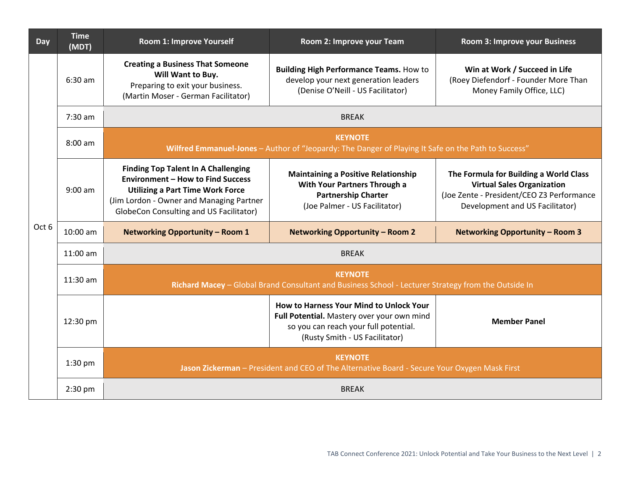| Day   | <b>Time</b><br>(MDT) | Room 1: Improve Yourself                                                                                                                                                                                                 | Room 2: Improve your Team                                                                                                                                        | Room 3: Improve your Business                                                                                                                               |  |  |
|-------|----------------------|--------------------------------------------------------------------------------------------------------------------------------------------------------------------------------------------------------------------------|------------------------------------------------------------------------------------------------------------------------------------------------------------------|-------------------------------------------------------------------------------------------------------------------------------------------------------------|--|--|
| Oct 6 | $6:30$ am            | <b>Creating a Business That Someone</b><br>Will Want to Buy.<br>Preparing to exit your business.<br>(Martin Moser - German Facilitator)                                                                                  | <b>Building High Performance Teams. How to</b><br>develop your next generation leaders<br>(Denise O'Neill - US Facilitator)                                      | Win at Work / Succeed in Life<br>(Roey Diefendorf - Founder More Than<br>Money Family Office, LLC)                                                          |  |  |
|       | 7:30 am              | <b>BREAK</b>                                                                                                                                                                                                             |                                                                                                                                                                  |                                                                                                                                                             |  |  |
|       | $8:00 \text{ am}$    | <b>KEYNOTE</b><br>Wilfred Emmanuel-Jones - Author of "Jeopardy: The Danger of Playing It Safe on the Path to Success"                                                                                                    |                                                                                                                                                                  |                                                                                                                                                             |  |  |
|       | $9:00$ am            | <b>Finding Top Talent In A Challenging</b><br><b>Environment - How to Find Success</b><br><b>Utilizing a Part Time Work Force</b><br>(Jim Lordon - Owner and Managing Partner<br>GlobeCon Consulting and US Facilitator) | <b>Maintaining a Positive Relationship</b><br>With Your Partners Through a<br><b>Partnership Charter</b><br>(Joe Palmer - US Facilitator)                        | The Formula for Building a World Class<br><b>Virtual Sales Organization</b><br>(Joe Zente - President/CEO Z3 Performance<br>Development and US Facilitator) |  |  |
|       | 10:00 am             | <b>Networking Opportunity - Room 1</b>                                                                                                                                                                                   | <b>Networking Opportunity - Room 2</b>                                                                                                                           | <b>Networking Opportunity - Room 3</b>                                                                                                                      |  |  |
|       | 11:00 am             | <b>BREAK</b>                                                                                                                                                                                                             |                                                                                                                                                                  |                                                                                                                                                             |  |  |
|       | $11:30$ am           | <b>KEYNOTE</b><br>Richard Macey - Global Brand Consultant and Business School - Lecturer Strategy from the Outside In                                                                                                    |                                                                                                                                                                  |                                                                                                                                                             |  |  |
|       | 12:30 pm             |                                                                                                                                                                                                                          | How to Harness Your Mind to Unlock Your<br>Full Potential. Mastery over your own mind<br>so you can reach your full potential.<br>(Rusty Smith - US Facilitator) | <b>Member Panel</b>                                                                                                                                         |  |  |
|       | $1:30$ pm            | <b>KEYNOTE</b><br>Jason Zickerman - President and CEO of The Alternative Board - Secure Your Oxygen Mask First                                                                                                           |                                                                                                                                                                  |                                                                                                                                                             |  |  |
|       | 2:30 pm              | <b>BREAK</b>                                                                                                                                                                                                             |                                                                                                                                                                  |                                                                                                                                                             |  |  |